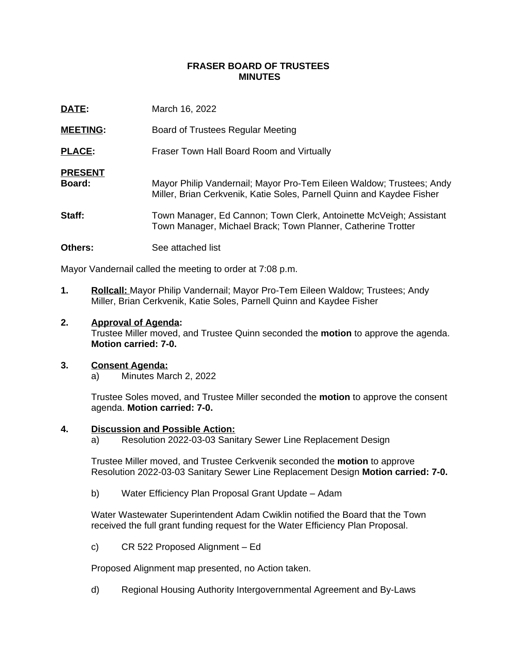### **FRASER BOARD OF TRUSTEES MINUTES**

| DATE:                    | March 16, 2022                                                                                                                                |
|--------------------------|-----------------------------------------------------------------------------------------------------------------------------------------------|
| <b>MEETING:</b>          | Board of Trustees Regular Meeting                                                                                                             |
| <b>PLACE:</b>            | Fraser Town Hall Board Room and Virtually                                                                                                     |
| <b>PRESENT</b><br>Board: | Mayor Philip Vandernail; Mayor Pro-Tem Eileen Waldow; Trustees; Andy<br>Miller, Brian Cerkvenik, Katie Soles, Parnell Quinn and Kaydee Fisher |
| Staff:                   | Town Manager, Ed Cannon; Town Clerk, Antoinette McVeigh; Assistant<br>Town Manager, Michael Brack; Town Planner, Catherine Trotter            |
| <b>Others:</b>           | See attached list                                                                                                                             |

Mayor Vandernail called the meeting to order at 7:08 p.m.

**1. Rollcall:** Mayor Philip Vandernail; Mayor Pro-Tem Eileen Waldow; Trustees; Andy Miller, Brian Cerkvenik, Katie Soles, Parnell Quinn and Kaydee Fisher

### **2. Approval of Agenda:**

Trustee Miller moved, and Trustee Quinn seconded the **motion** to approve the agenda. **Motion carried: 7-0.**

#### **3. Consent Agenda:**

a) Minutes March 2, 2022

Trustee Soles moved, and Trustee Miller seconded the **motion** to approve the consent agenda. **Motion carried: 7-0.**

#### **4. Discussion and Possible Action:**

a) Resolution 2022-03-03 Sanitary Sewer Line Replacement Design

Trustee Miller moved, and Trustee Cerkvenik seconded the **motion** to approve Resolution 2022-03-03 Sanitary Sewer Line Replacement Design **Motion carried: 7-0.**

b) Water Efficiency Plan Proposal Grant Update – Adam

Water Wastewater Superintendent Adam Cwiklin notified the Board that the Town received the full grant funding request for the Water Efficiency Plan Proposal.

c) CR 522 Proposed Alignment – Ed

Proposed Alignment map presented, no Action taken.

d) Regional Housing Authority Intergovernmental Agreement and By-Laws